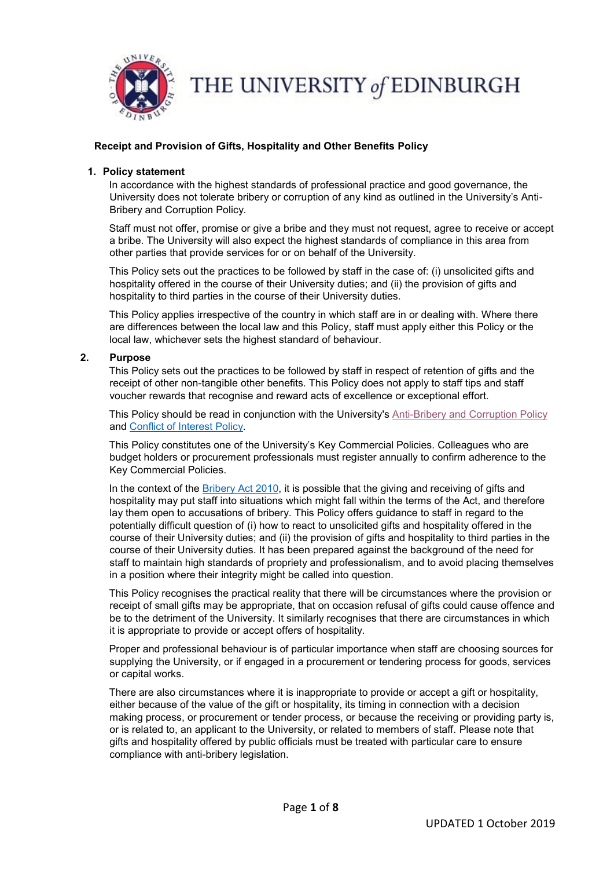

THE UNIVERSITY of EDINBURGH

# **Receipt and Provision of Gifts, Hospitality and Other Benefits Policy**

### **1. Policy statement**

In accordance with the highest standards of professional practice and good governance, the University does not tolerate bribery or corruption of any kind as outlined in the University's Anti-Bribery and Corruption Policy.

Staff must not offer, promise or give a bribe and they must not request, agree to receive or accept a bribe. The University will also expect the highest standards of compliance in this area from other parties that provide services for or on behalf of the University.

This Policy sets out the practices to be followed by staff in the case of: (i) unsolicited gifts and hospitality offered in the course of their University duties; and (ii) the provision of gifts and hospitality to third parties in the course of their University duties.

This Policy applies irrespective of the country in which staff are in or dealing with. Where there are differences between the local law and this Policy, staff must apply either this Policy or the local law, whichever sets the highest standard of behaviour.

## **2. Purpose**

This Policy sets out the practices to be followed by staff in respect of retention of gifts and the receipt of other non-tangible other benefits. This Policy does not apply to staff tips and staff voucher rewards that recognise and reward acts of excellence or exceptional effort.

This Policy should be read in conjunction with the University's [Anti-Bribery and Corruption Policy](https://www.edweb.ed.ac.uk/files/atoms/files/anti-bribery_and_corruption_policy_1_august_2019.pdf) and [Conflict of Interest Policy.](https://www.ed.ac.uk/files/atoms/files/conflict_of_interest_0.pdf)

This Policy constitutes one of the University's Key Commercial Policies. Colleagues who are budget holders or procurement professionals must register annually to confirm adherence to the Key Commercial Policies.

In the context of the **Bribery Act 2010**, it is possible that the giving and receiving of gifts and hospitality may put staff into situations which might fall within the terms of the Act, and therefore lay them open to accusations of bribery. This Policy offers guidance to staff in regard to the potentially difficult question of (i) how to react to unsolicited gifts and hospitality offered in the course of their University duties; and (ii) the provision of gifts and hospitality to third parties in the course of their University duties. It has been prepared against the background of the need for staff to maintain high standards of propriety and professionalism, and to avoid placing themselves in a position where their integrity might be called into question.

This Policy recognises the practical reality that there will be circumstances where the provision or receipt of small gifts may be appropriate, that on occasion refusal of gifts could cause offence and be to the detriment of the University. It similarly recognises that there are circumstances in which it is appropriate to provide or accept offers of hospitality.

Proper and professional behaviour is of particular importance when staff are choosing sources for supplying the University, or if engaged in a procurement or tendering process for goods, services or capital works.

There are also circumstances where it is inappropriate to provide or accept a gift or hospitality, either because of the value of the gift or hospitality, its timing in connection with a decision making process, or procurement or tender process, or because the receiving or providing party is, or is related to, an applicant to the University, or related to members of staff. Please note that gifts and hospitality offered by public officials must be treated with particular care to ensure compliance with anti-bribery legislation.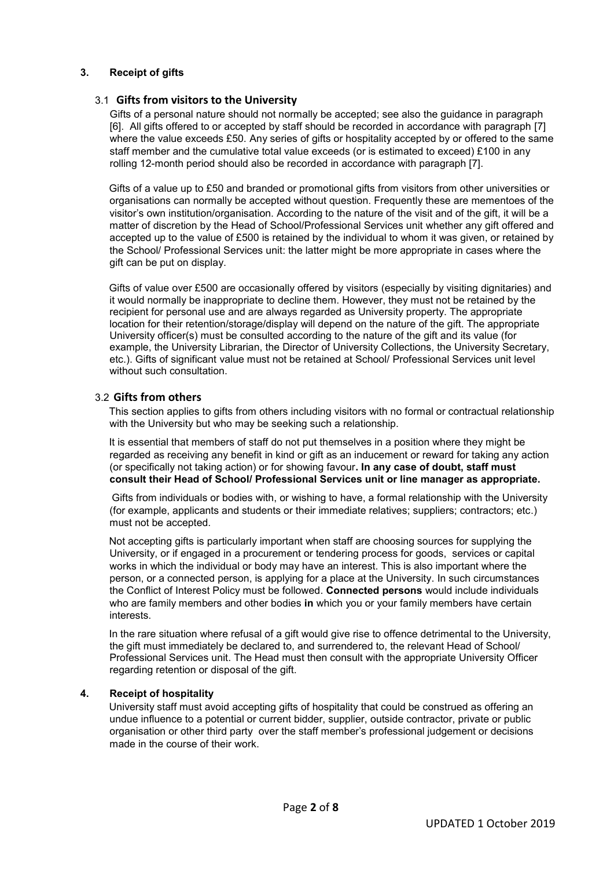# **3. Receipt of gifts**

# 3.1 **Gifts from visitors to the University**

Gifts of a personal nature should not normally be accepted; see also the guidance in paragraph [6]. All gifts offered to or accepted by staff should be recorded in accordance with paragraph [7] where the value exceeds £50. Any series of gifts or hospitality accepted by or offered to the same staff member and the cumulative total value exceeds (or is estimated to exceed) £100 in any rolling 12-month period should also be recorded in accordance with paragraph [7].

Gifts of a value up to £50 and branded or promotional gifts from visitors from other universities or organisations can normally be accepted without question. Frequently these are mementoes of the visitor's own institution/organisation. According to the nature of the visit and of the gift, it will be a matter of discretion by the Head of School/Professional Services unit whether any gift offered and accepted up to the value of £500 is retained by the individual to whom it was given, or retained by the School/ Professional Services unit: the latter might be more appropriate in cases where the gift can be put on display.

Gifts of value over £500 are occasionally offered by visitors (especially by visiting dignitaries) and it would normally be inappropriate to decline them. However, they must not be retained by the recipient for personal use and are always regarded as University property. The appropriate location for their retention/storage/display will depend on the nature of the gift. The appropriate University officer(s) must be consulted according to the nature of the gift and its value (for example, the University Librarian, the Director of University Collections, the University Secretary, etc.). Gifts of significant value must not be retained at School/ Professional Services unit level without such consultation.

# 3.2 **Gifts from others**

This section applies to gifts from others including visitors with no formal or contractual relationship with the University but who may be seeking such a relationship.

It is essential that members of staff do not put themselves in a position where they might be regarded as receiving any benefit in kind or gift as an inducement or reward for taking any action (or specifically not taking action) or for showing favour**. In any case of doubt, staff must consult their Head of School/ Professional Services unit or line manager as appropriate.** 

Gifts from individuals or bodies with, or wishing to have, a formal relationship with the University (for example, applicants and students or their immediate relatives; suppliers; contractors; etc.) must not be accepted.

Not accepting gifts is particularly important when staff are choosing sources for supplying the University, or if engaged in a procurement or tendering process for goods, services or capital works in which the individual or body may have an interest. This is also important where the person, or a connected person, is applying for a place at the University. In such circumstances the Conflict of Interest Policy must be followed. **Connected persons** would include individuals who are family members and other bodies **in** which you or your family members have certain interests.

In the rare situation where refusal of a gift would give rise to offence detrimental to the University, the gift must immediately be declared to, and surrendered to, the relevant Head of School/ Professional Services unit. The Head must then consult with the appropriate University Officer regarding retention or disposal of the gift.

# **4. Receipt of hospitality**

University staff must avoid accepting gifts of hospitality that could be construed as offering an undue influence to a potential or current bidder, supplier, outside contractor, private or public organisation or other third party over the staff member's professional judgement or decisions made in the course of their work.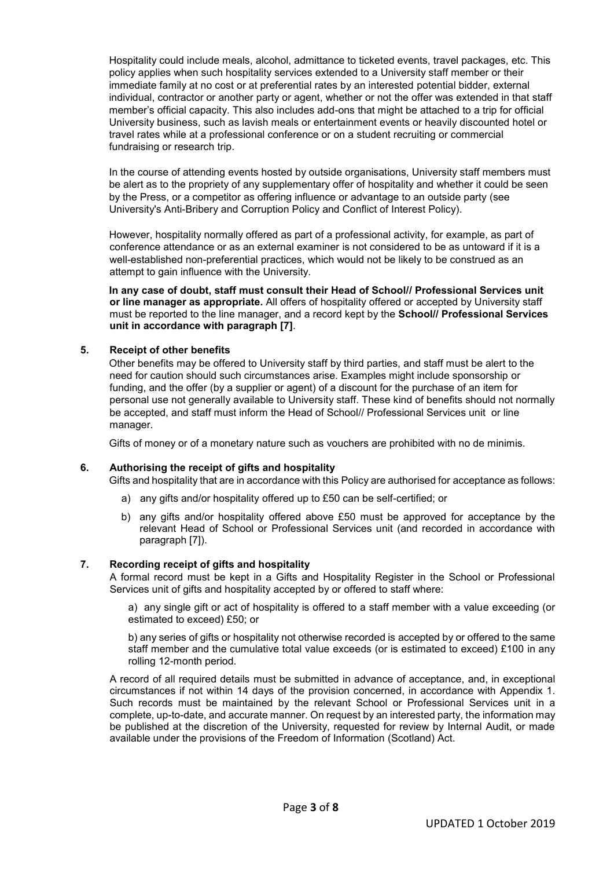Hospitality could include meals, alcohol, admittance to ticketed events, travel packages, etc. This policy applies when such hospitality services extended to a University staff member or their immediate family at no cost or at preferential rates by an interested potential bidder, external individual, contractor or another party or agent, whether or not the offer was extended in that staff member's official capacity. This also includes add-ons that might be attached to a trip for official University business, such as lavish meals or entertainment events or heavily discounted hotel or travel rates while at a professional conference or on a student recruiting or commercial fundraising or research trip.

In the course of attending events hosted by outside organisations, University staff members must be alert as to the propriety of any supplementary offer of hospitality and whether it could be seen by the Press, or a competitor as offering influence or advantage to an outside party (see University's Anti-Bribery and Corruption Policy and Conflict of Interest Policy).

However, hospitality normally offered as part of a professional activity, for example, as part of conference attendance or as an external examiner is not considered to be as untoward if it is a well-established non-preferential practices, which would not be likely to be construed as an attempt to gain influence with the University.

**In any case of doubt, staff must consult their Head of School// Professional Services unit or line manager as appropriate.** All offers of hospitality offered or accepted by University staff must be reported to the line manager, and a record kept by the **School// Professional Services unit in accordance with paragraph [7]**.

# **5. Receipt of other benefits**

Other benefits may be offered to University staff by third parties, and staff must be alert to the need for caution should such circumstances arise. Examples might include sponsorship or funding, and the offer (by a supplier or agent) of a discount for the purchase of an item for personal use not generally available to University staff. These kind of benefits should not normally be accepted, and staff must inform the Head of School// Professional Services unit or line manager.

Gifts of money or of a monetary nature such as vouchers are prohibited with no de minimis.

### **6. Authorising the receipt of gifts and hospitality**

Gifts and hospitality that are in accordance with this Policy are authorised for acceptance as follows:

- a) any gifts and/or hospitality offered up to £50 can be self-certified; or
- b) any gifts and/or hospitality offered above £50 must be approved for acceptance by the relevant Head of School or Professional Services unit (and recorded in accordance with paragraph [7]).

# **7. Recording receipt of gifts and hospitality**

A formal record must be kept in a Gifts and Hospitality Register in the School or Professional Services unit of gifts and hospitality accepted by or offered to staff where:

a) any single gift or act of hospitality is offered to a staff member with a value exceeding (or estimated to exceed) £50; or

b) any series of gifts or hospitality not otherwise recorded is accepted by or offered to the same staff member and the cumulative total value exceeds (or is estimated to exceed) £100 in any rolling 12-month period.

A record of all required details must be submitted in advance of acceptance, and, in exceptional circumstances if not within 14 days of the provision concerned, in accordance with Appendix 1. Such records must be maintained by the relevant School or Professional Services unit in a complete, up-to-date, and accurate manner. On request by an interested party, the information may be published at the discretion of the University, requested for review by Internal Audit, or made available under the provisions of the Freedom of Information (Scotland) Act.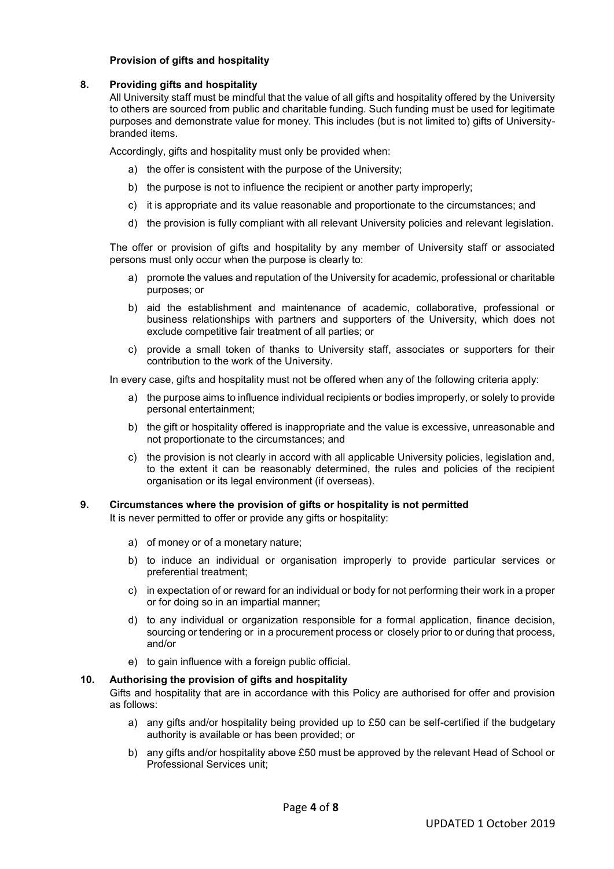# **Provision of gifts and hospitality**

### **8. Providing gifts and hospitality**

All University staff must be mindful that the value of all gifts and hospitality offered by the University to others are sourced from public and charitable funding. Such funding must be used for legitimate purposes and demonstrate value for money. This includes (but is not limited to) gifts of Universitybranded items.

Accordingly, gifts and hospitality must only be provided when:

- a) the offer is consistent with the purpose of the University;
- b) the purpose is not to influence the recipient or another party improperly;
- c) it is appropriate and its value reasonable and proportionate to the circumstances; and
- d) the provision is fully compliant with all relevant University policies and relevant legislation.

The offer or provision of gifts and hospitality by any member of University staff or associated persons must only occur when the purpose is clearly to:

- a) promote the values and reputation of the University for academic, professional or charitable purposes; or
- b) aid the establishment and maintenance of academic, collaborative, professional or business relationships with partners and supporters of the University, which does not exclude competitive fair treatment of all parties; or
- c) provide a small token of thanks to University staff, associates or supporters for their contribution to the work of the University.

In every case, gifts and hospitality must not be offered when any of the following criteria apply:

- a) the purpose aims to influence individual recipients or bodies improperly, or solely to provide personal entertainment;
- b) the gift or hospitality offered is inappropriate and the value is excessive, unreasonable and not proportionate to the circumstances; and
- c) the provision is not clearly in accord with all applicable University policies, legislation and, to the extent it can be reasonably determined, the rules and policies of the recipient organisation or its legal environment (if overseas).

#### **9. Circumstances where the provision of gifts or hospitality is not permitted**

It is never permitted to offer or provide any gifts or hospitality:

- a) of money or of a monetary nature;
- b) to induce an individual or organisation improperly to provide particular services or preferential treatment;
- c) in expectation of or reward for an individual or body for not performing their work in a proper or for doing so in an impartial manner;
- d) to any individual or organization responsible for a formal application, finance decision, sourcing or tendering or in a procurement process or closely prior to or during that process, and/or
- e) to gain influence with a foreign public official.

#### **10. Authorising the provision of gifts and hospitality**

Gifts and hospitality that are in accordance with this Policy are authorised for offer and provision as follows:

- a) any gifts and/or hospitality being provided up to £50 can be self-certified if the budgetary authority is available or has been provided; or
- b) any gifts and/or hospitality above £50 must be approved by the relevant Head of School or Professional Services unit;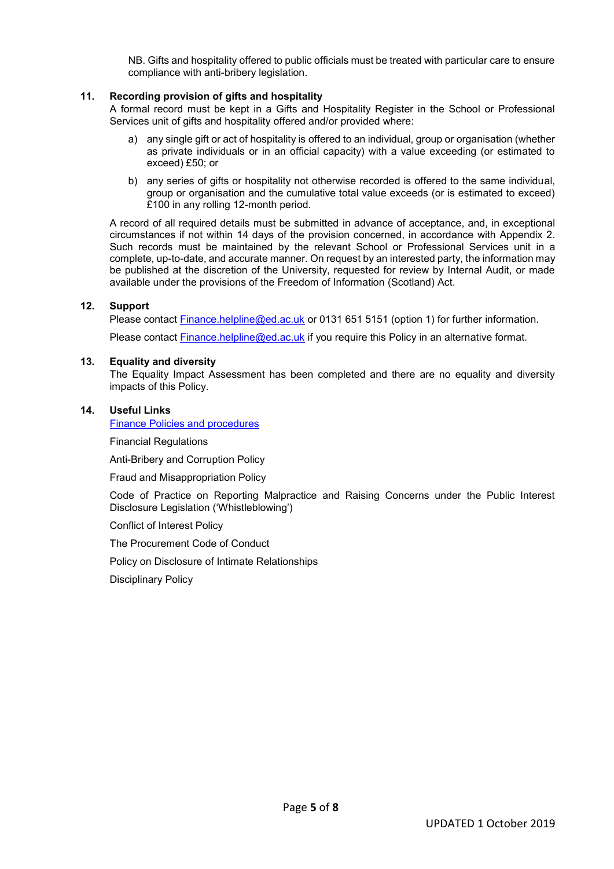NB. Gifts and hospitality offered to public officials must be treated with particular care to ensure compliance with anti-bribery legislation.

# **11. Recording provision of gifts and hospitality**

A formal record must be kept in a Gifts and Hospitality Register in the School or Professional Services unit of gifts and hospitality offered and/or provided where:

- a) any single gift or act of hospitality is offered to an individual, group or organisation (whether as private individuals or in an official capacity) with a value exceeding (or estimated to exceed) £50; or
- b) any series of gifts or hospitality not otherwise recorded is offered to the same individual, group or organisation and the cumulative total value exceeds (or is estimated to exceed) £100 in any rolling 12-month period.

A record of all required details must be submitted in advance of acceptance, and, in exceptional circumstances if not within 14 days of the provision concerned, in accordance with Appendix 2. Such records must be maintained by the relevant School or Professional Services unit in a complete, up-to-date, and accurate manner. On request by an interested party, the information may be published at the discretion of the University, requested for review by Internal Audit, or made available under the provisions of the Freedom of Information (Scotland) Act.

### **12. Support**

Please contact [Finance.helpline@ed.ac.uk](mailto:Finance.helpline@ed.ac.uk) or 0131 651 5151 (option 1) for further information.

Please contact **Finance.helpline@ed.ac.uk** if you require this Policy in an alternative format.

#### **13. Equality and diversity**

The Equality Impact Assessment has been completed and there are no equality and diversity impacts of this Policy.

#### **14. Useful Links**

[Finance Policies and procedures](https://www.edweb.ed.ac.uk/finance/for-staff/financial-regulations-policies-and-procedures/policies-and-procedures)

Financial Regulations

Anti-Bribery and Corruption Policy

Fraud and Misappropriation Policy

Code of Practice on Reporting Malpractice and Raising Concerns under the Public Interest Disclosure Legislation ('Whistleblowing')

Conflict of Interest Policy

The Procurement Code of Conduct

Policy on Disclosure of Intimate Relationships

Disciplinary Policy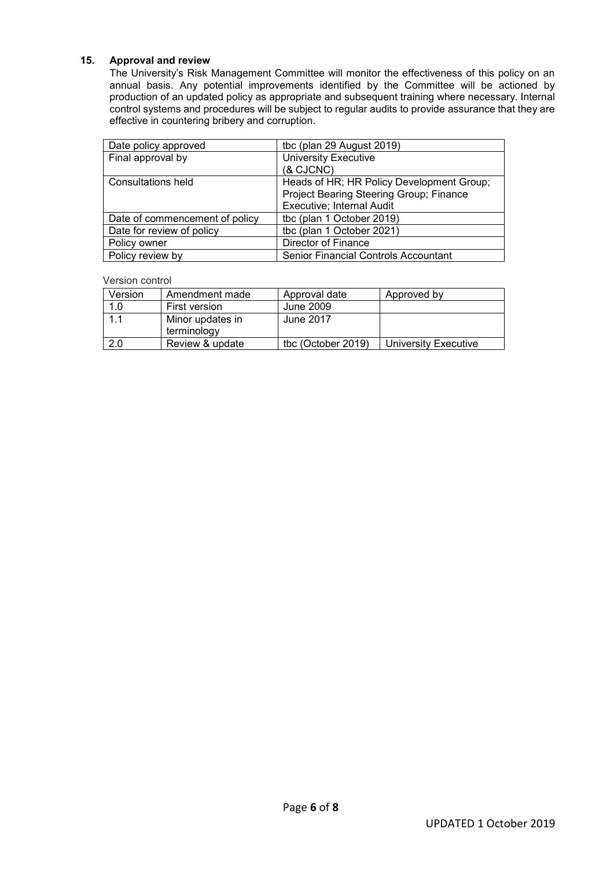# **15. Approval and review**

The University's Risk Management Committee will monitor the effectiveness of this policy on an annual basis. Any potential improvements identified by the Committee will be actioned by production of an updated policy as appropriate and subsequent training where necessary. Internal control systems and procedures will be subject to regular audits to provide assurance that they are effective in countering bribery and corruption.

| Date policy approved           | tbc (plan 29 August 2019)                   |  |
|--------------------------------|---------------------------------------------|--|
| Final approval by              | <b>University Executive</b>                 |  |
|                                | (& CJCNC)                                   |  |
| Consultations held             | Heads of HR; HR Policy Development Group;   |  |
|                                | Project Bearing Steering Group; Finance     |  |
|                                | Executive; Internal Audit                   |  |
| Date of commencement of policy | tbc (plan 1 October 2019)                   |  |
| Date for review of policy      | tbc (plan 1 October 2021)                   |  |
| Policy owner                   | <b>Director of Finance</b>                  |  |
| Policy review by               | <b>Senior Financial Controls Accountant</b> |  |

Version control

| Version | Amendment made   | Approval date      | Approved by          |
|---------|------------------|--------------------|----------------------|
| 1.0     | First version    | June 2009          |                      |
| 1.1     | Minor updates in | June 2017          |                      |
|         | terminology      |                    |                      |
| 2.0     | Review & update  | tbc (October 2019) | University Executive |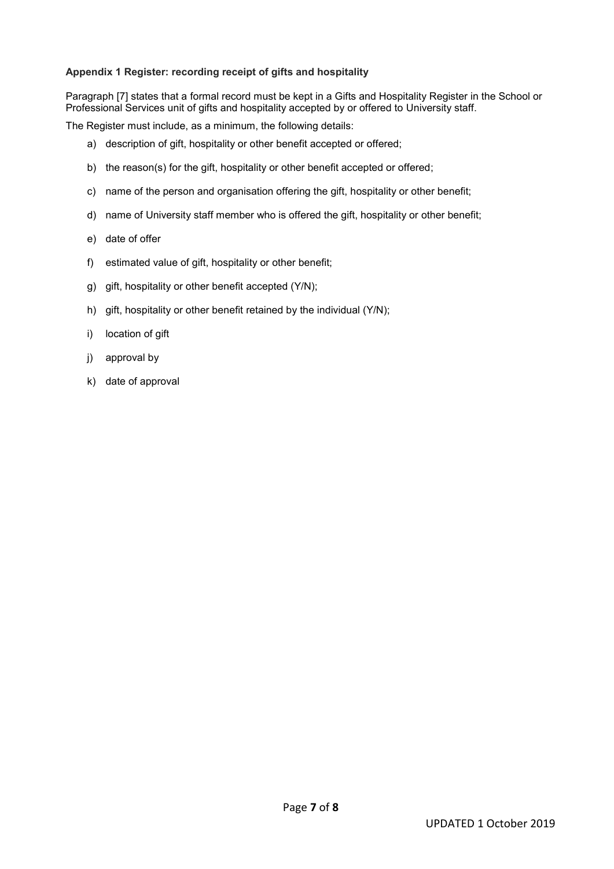# **Appendix 1 Register: recording receipt of gifts and hospitality**

Paragraph [7] states that a formal record must be kept in a Gifts and Hospitality Register in the School or Professional Services unit of gifts and hospitality accepted by or offered to University staff.

The Register must include, as a minimum, the following details:

- a) description of gift, hospitality or other benefit accepted or offered;
- b) the reason(s) for the gift, hospitality or other benefit accepted or offered;
- c) name of the person and organisation offering the gift, hospitality or other benefit;
- d) name of University staff member who is offered the gift, hospitality or other benefit;
- e) date of offer
- f) estimated value of gift, hospitality or other benefit;
- g) gift, hospitality or other benefit accepted (Y/N);
- h) gift, hospitality or other benefit retained by the individual (Y/N);
- i) location of gift
- j) approval by
- k) date of approval